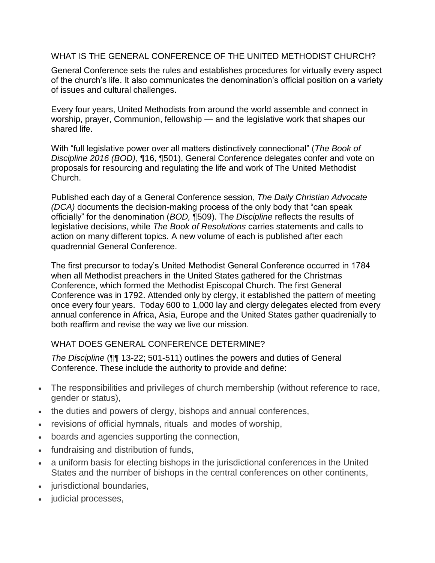## WHAT IS THE GENERAL CONFERENCE OF THE UNITED METHODIST CHURCH?

General Conference sets the rules and establishes procedures for virtually every aspect of the church's life. It also communicates the denomination's official position on a variety of issues and cultural challenges.

Every four years, United Methodists from around the world assemble and connect in worship, prayer, Communion, fellowship — and the legislative work that shapes our shared life.

With "full legislative power over all matters distinctively connectional" (*The Book of Discipline 2016 (BOD),* ¶16, ¶501), General Conference delegates confer and vote on proposals for resourcing and regulating the life and work of The United Methodist Church.

Published each day of a General Conference session, *The Daily Christian Advocate (DCA)* documents the decision-making process of the only body that "can speak officially" for the denomination (*BOD,* ¶509). Th*e Discipline* reflects the results of legislative decisions, while *The Book of Resolutions* carries statements and calls to action on many different topics*.* A new volume of each is published after each quadrennial General Conference.

The first precursor to today's United Methodist General Conference occurred in 1784 when all Methodist preachers in the United States gathered for the Christmas Conference, which formed the Methodist Episcopal Church. The first General Conference was in 1792. Attended only by clergy, it established the pattern of meeting once every four years. Today 600 to 1,000 lay and clergy delegates elected from every annual conference in Africa, Asia, Europe and the United States gather quadrenially to both reaffirm and revise the way we live our mission.

# WHAT DOES GENERAL CONFERENCE DETERMINE?

*The Discipline* (¶¶ 13-22; 501-511) outlines the powers and duties of General Conference. These include the authority to provide and define:

- The responsibilities and privileges of church membership (without reference to race, gender or status),
- the duties and powers of clergy, bishops and annual conferences,
- revisions of official hymnals, rituals and modes of worship,
- boards and agencies supporting the connection,
- fundraising and distribution of funds,
- a uniform basis for electing bishops in the jurisdictional conferences in the United States and the number of bishops in the central conferences on other continents,
- jurisdictional boundaries,
- judicial processes,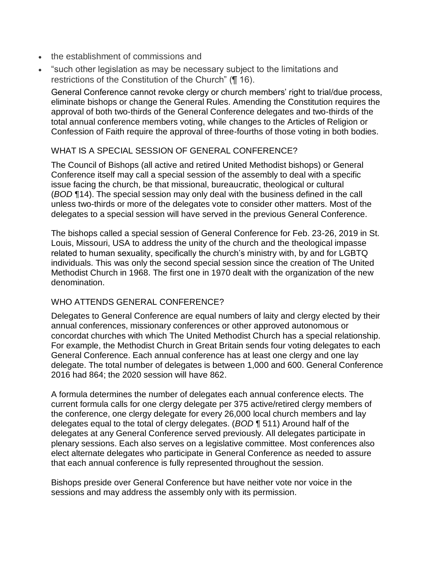- the establishment of commissions and
- "such other legislation as may be necessary subject to the limitations and restrictions of the Constitution of the Church" (¶ 16).

General Conference cannot revoke clergy or church members' right to trial/due process, eliminate bishops or change the General Rules. Amending the Constitution requires the approval of both two-thirds of the General Conference delegates and two-thirds of the total annual conference members voting, while changes to the Articles of Religion or Confession of Faith require the approval of three-fourths of those voting in both bodies.

#### WHAT IS A SPECIAL SESSION OF GENERAL CONFERENCE?

The Council of Bishops (all active and retired United Methodist bishops) or General Conference itself may call a special session of the assembly to deal with a specific issue facing the church, be that missional, bureaucratic, theological or cultural (*BOD* ¶14). The special session may only deal with the business defined in the call unless two-thirds or more of the delegates vote to consider other matters. Most of the delegates to a special session will have served in the previous General Conference.

The bishops called a special session of General Conference for Feb. 23-26, 2019 in St. Louis, Missouri, USA to address the unity of the church and the theological impasse related to human sexuality, specifically the church's ministry with, by and for LGBTQ individuals. This was only the second special session since the creation of The United Methodist Church in 1968. The first one in 1970 dealt with the organization of the new denomination.

## WHO ATTENDS GENERAL CONFERENCE?

Delegates to General Conference are equal numbers of laity and clergy elected by their annual conferences, missionary conferences or other approved autonomous or concordat churches with which The United Methodist Church has a special relationship. For example, the Methodist Church in Great Britain sends four voting delegates to each General Conference. Each annual conference has at least one clergy and one lay delegate. The total number of delegates is between 1,000 and 600. General Conference 2016 had 864; the 2020 session will have 862.

A formula determines the number of delegates each annual conference elects. The current formula calls for one clergy delegate per 375 active/retired clergy members of the conference, one clergy delegate for every 26,000 local church members and lay delegates equal to the total of clergy delegates. (*BOD* ¶ 511) Around half of the delegates at any General Conference served previously. All delegates participate in plenary sessions. Each also serves on a legislative committee. Most conferences also elect alternate delegates who participate in General Conference as needed to assure that each annual conference is fully represented throughout the session.

Bishops preside over General Conference but have neither vote nor voice in the sessions and may address the assembly only with its permission.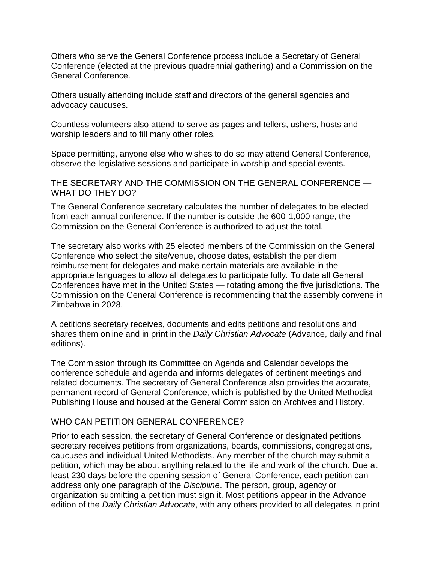Others who serve the General Conference process include a Secretary of General Conference (elected at the previous quadrennial gathering) and a Commission on the General Conference.

Others usually attending include staff and directors of the general agencies and advocacy caucuses.

Countless volunteers also attend to serve as pages and tellers, ushers, hosts and worship leaders and to fill many other roles.

Space permitting, anyone else who wishes to do so may attend General Conference, observe the legislative sessions and participate in worship and special events.

THE SECRETARY AND THE COMMISSION ON THE GENERAL CONFERENCE — WHAT DO THEY DO?

The General Conference secretary calculates the number of delegates to be elected from each annual conference. If the number is outside the 600-1,000 range, the Commission on the General Conference is authorized to adjust the total.

The secretary also works with 25 elected members of the Commission on the General Conference who select the site/venue, choose dates, establish the per diem reimbursement for delegates and make certain materials are available in the appropriate languages to allow all delegates to participate fully. To date all General Conferences have met in the United States — rotating among the five jurisdictions. The Commission on the General Conference is recommending that the assembly convene in Zimbabwe in 2028.

A petitions secretary receives, documents and edits petitions and resolutions and shares them online and in print in the *Daily Christian Advocate* (Advance, daily and final editions).

The Commission through its Committee on Agenda and Calendar develops the conference schedule and agenda and informs delegates of pertinent meetings and related documents. The secretary of General Conference also provides the accurate, permanent record of General Conference, which is published by the United Methodist Publishing House and housed at the General Commission on Archives and History.

#### WHO CAN PETITION GENERAL CONFERENCE?

Prior to each session, the secretary of General Conference or designated petitions secretary receives petitions from organizations, boards, commissions, congregations, caucuses and individual United Methodists. Any member of the church may submit a petition, which may be about anything related to the life and work of the church. Due at least 230 days before the opening session of General Conference, each petition can address only one paragraph of the *Discipline*. The person, group, agency or organization submitting a petition must sign it. Most petitions appear in the Advance edition of the *Daily Christian Advocate*, with any others provided to all delegates in print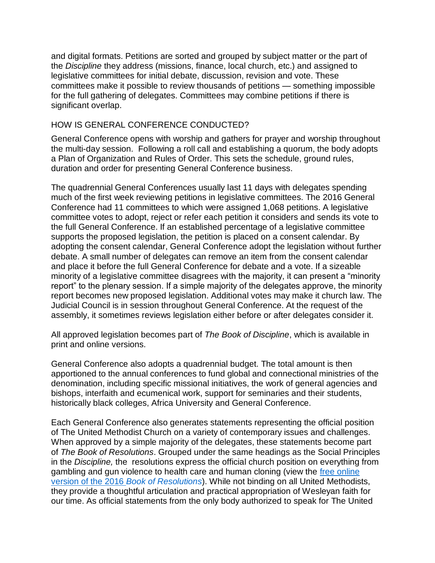and digital formats. Petitions are sorted and grouped by subject matter or the part of the *Discipline* they address (missions, finance, local church, etc.) and assigned to legislative committees for initial debate, discussion, revision and vote. These committees make it possible to review thousands of petitions — something impossible for the full gathering of delegates. Committees may combine petitions if there is significant overlap.

#### HOW IS GENERAL CONFERENCE CONDUCTED?

General Conference opens with worship and gathers for prayer and worship throughout the multi-day session. Following a roll call and establishing a quorum, the body adopts a Plan of Organization and Rules of Order. This sets the schedule, ground rules, duration and order for presenting General Conference business.

The quadrennial General Conferences usually last 11 days with delegates spending much of the first week reviewing petitions in legislative committees. The 2016 General Conference had 11 committees to which were assigned 1,068 petitions. A legislative committee votes to adopt, reject or refer each petition it considers and sends its vote to the full General Conference. If an established percentage of a legislative committee supports the proposed legislation, the petition is placed on a consent calendar. By adopting the consent calendar, General Conference adopt the legislation without further debate. A small number of delegates can remove an item from the consent calendar and place it before the full General Conference for debate and a vote. If a sizeable minority of a legislative committee disagrees with the majority, it can present a "minority report" to the plenary session. If a simple majority of the delegates approve, the minority report becomes new proposed legislation. Additional votes may make it church law. The Judicial Council is in session throughout General Conference. At the request of the assembly, it sometimes reviews legislation either before or after delegates consider it.

All approved legislation becomes part of *The Book of Discipline*, which is available in print and online versions.

General Conference also adopts a quadrennial budget. The total amount is then apportioned to the annual conferences to fund global and connectional ministries of the denomination, including specific missional initiatives, the work of general agencies and bishops, interfaith and ecumenical work, support for seminaries and their students, historically black colleges, Africa University and General Conference.

Each General Conference also generates statements representing the official position of The United Methodist Church on a variety of contemporary issues and challenges. When approved by a simple majority of the delegates, these statements become part of *The Book of Resolutions*. Grouped under the same headings as the Social Principles in the *Discipline,* the resolutions express the official church position on everything from gambling and gun violence to health care and human cloning (view the [free online](https://www.cokesbury.com/forms/DynamicContent.aspx?id=87&pageid=920#9569)  version of the 2016 *[Book of Resolutions](https://www.cokesbury.com/forms/DynamicContent.aspx?id=87&pageid=920#9569)*). While not binding on all United Methodists, they provide a thoughtful articulation and practical appropriation of Wesleyan faith for our time. As official statements from the only body authorized to speak for The United